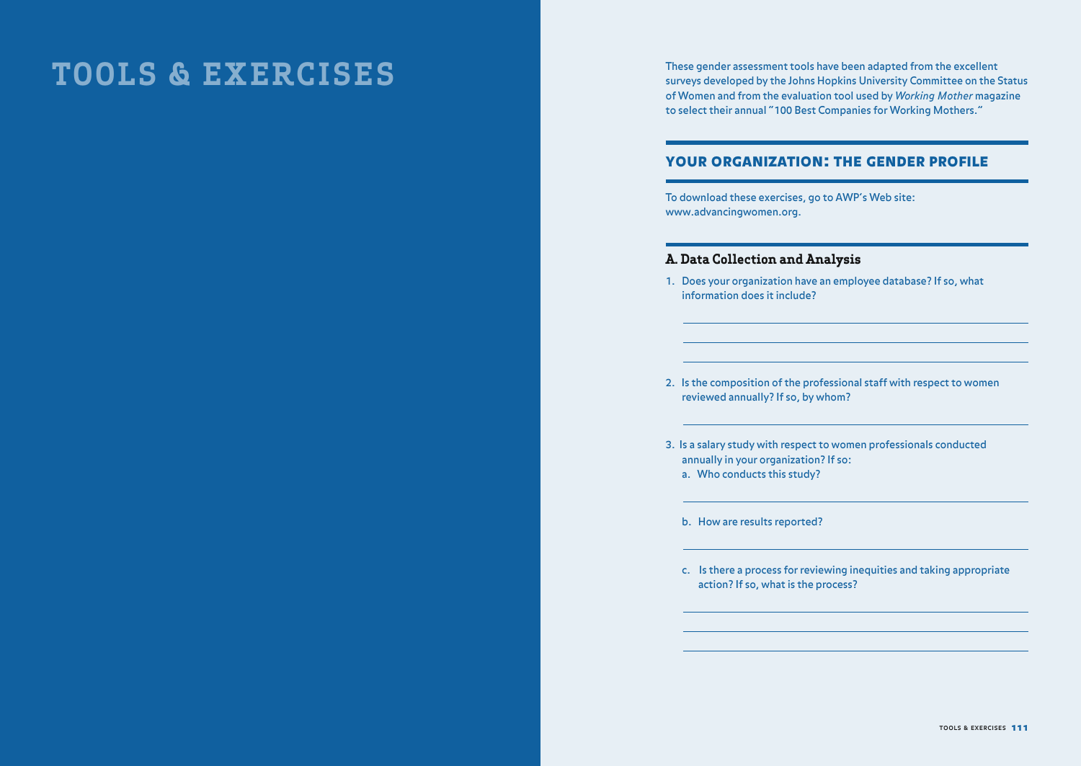# **TOOLS & EXERCISES**

These gender assessment tools have been adapted from the excellent surveys developed by the Johns Hopkins University Committee on the Status of Women and from the evaluation tool used by *Working Mother* magazine to select their annual "100 Best Companies for Working Mothers."

## YOUR ORGANIZATION: THE GENDER PROFILE

To download these exercises, go to AWP's Web site: www.advancingwomen.org.

## **A. Data Collection and Analysis**

1. Does your organization have an employee database? If so, what information does it include?

2. Is the composition of the professional staff with respect to women reviewed annually? If so, by whom?

3. Is a salary study with respect to women professionals conducted annually in your organization? If so: a. Who conducts this study?

b. How are results reported?

c. Is there a process for reviewing inequities and taking appropriate action? If so, what is the process?